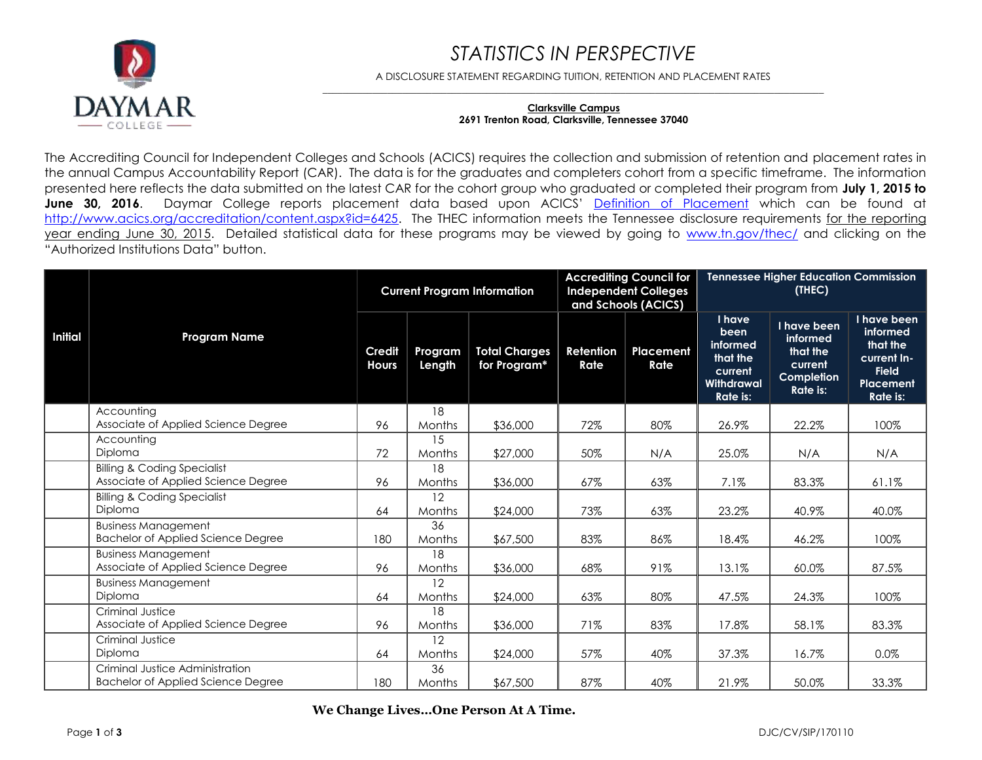### *STATISTICS IN PERSPECTIVE*



A DISCLOSURE STATEMENT REGARDING TUITION, RETENTION AND PLACEMENT RATES  $\_$  ,  $\_$  ,  $\_$  ,  $\_$  ,  $\_$  ,  $\_$  ,  $\_$  ,  $\_$  ,  $\_$  ,  $\_$  ,  $\_$  ,  $\_$  ,  $\_$  ,  $\_$  ,  $\_$  ,  $\_$  ,  $\_$  ,  $\_$  ,  $\_$  ,  $\_$  ,  $\_$  ,  $\_$  ,  $\_$  ,  $\_$  ,  $\_$  ,  $\_$  ,  $\_$  ,  $\_$  ,  $\_$  ,  $\_$  ,  $\_$  ,  $\_$  ,  $\_$  ,  $\_$  ,  $\_$  ,  $\_$  ,  $\_$  ,

#### **Clarksville Campus 2691 Trenton Road, Clarksville, Tennessee 37040**

The Accrediting Council for Independent Colleges and Schools (ACICS) requires the collection and submission of retention and placement rates in the annual Campus Accountability Report (CAR). The data is for the graduates and completers cohort from a specific timeframe. The information presented here reflects the data submitted on the latest CAR for the cohort group who graduated or completed their program from **July 1, 2015 to**  June 30, 2016. Daymar College reports placement data based upon ACICS' [Definition of Placement](http://www.acics.org/accreditation/content.aspx?id=6425) which can be found at [http://www.acics.org/accreditation/content.aspx?id=6425.](http://www.acics.org/accreditation/content.aspx?id=6425) The THEC information meets the Tennessee disclosure requirements for the reporting year ending June 30, 2015. Detailed statistical data for these programs may be viewed by going to [www.tn.gov/thec/](http://www.tn.gov/thec/) and clicking on the "Authorized Institutions Data" button.

|         |                                                                               |                               |                   | <b>Current Program Information</b>   |                   | <b>Accrediting Council for</b><br><b>Independent Colleges</b><br>and Schools (ACICS) |                                                                                    | <b>Tennessee Higher Education Commission</b><br>(THEC)                   |                                                                                             |
|---------|-------------------------------------------------------------------------------|-------------------------------|-------------------|--------------------------------------|-------------------|--------------------------------------------------------------------------------------|------------------------------------------------------------------------------------|--------------------------------------------------------------------------|---------------------------------------------------------------------------------------------|
| Initial | <b>Program Name</b>                                                           | <b>Credit</b><br><b>Hours</b> | Program<br>Length | <b>Total Charges</b><br>for Program* | Retention<br>Rate | Placement<br>Rate                                                                    | I have<br>been<br>informed<br>that the<br>current<br>Withdrawal<br><b>Rate is:</b> | I have been<br>informed<br>that the<br>current<br>Completion<br>Rate is: | I have been<br>informed<br>that the<br>current In-<br><b>Field</b><br>Placement<br>Rate is: |
|         | Accounting<br>Associate of Applied Science Degree                             | 96                            | 18<br>Months      | \$36,000                             | 72%               | 80%                                                                                  | 26.9%                                                                              | 22.2%                                                                    | 100%                                                                                        |
|         | Accountina<br>Diploma                                                         | 72                            | 15<br>Months      | \$27,000                             | 50%               | N/A                                                                                  | 25.0%                                                                              | N/A                                                                      | N/A                                                                                         |
|         | <b>Billing &amp; Coding Specialist</b><br>Associate of Applied Science Degree | 96                            | 18<br>Months      | \$36,000                             | 67%               | 63%                                                                                  | 7.1%                                                                               | 83.3%                                                                    | 61.1%                                                                                       |
|         | <b>Billing &amp; Coding Specialist</b><br>Diploma                             | 64                            | 12<br>Months      | \$24,000                             | 73%               | 63%                                                                                  | 23.2%                                                                              | 40.9%                                                                    | 40.0%                                                                                       |
|         | <b>Business Management</b><br><b>Bachelor of Applied Science Degree</b>       | 180                           | 36<br>Months      | \$67,500                             | 83%               | 86%                                                                                  | 18.4%                                                                              | 46.2%                                                                    | 100%                                                                                        |
|         | <b>Business Management</b><br>Associate of Applied Science Degree             | 96                            | 18<br>Months      | \$36,000                             | 68%               | 91%                                                                                  | 13.1%                                                                              | 60.0%                                                                    | 87.5%                                                                                       |
|         | <b>Business Management</b><br>Diploma                                         | 64                            | 12<br>Months      | \$24,000                             | 63%               | 80%                                                                                  | 47.5%                                                                              | 24.3%                                                                    | 100%                                                                                        |
|         | Criminal Justice<br>Associate of Applied Science Degree                       | 96                            | 18<br>Months      | \$36,000                             | 71%               | 83%                                                                                  | 17.8%                                                                              | 58.1%                                                                    | 83.3%                                                                                       |
|         | Criminal Justice<br>Diploma                                                   | 64                            | 12<br>Months      | \$24,000                             | 57%               | 40%                                                                                  | 37.3%                                                                              | 16.7%                                                                    | 0.0%                                                                                        |
|         | Criminal Justice Administration<br><b>Bachelor of Applied Science Degree</b>  | 180                           | 36<br>Months      | \$67,500                             | 87%               | 40%                                                                                  | 21.9%                                                                              | 50.0%                                                                    | 33.3%                                                                                       |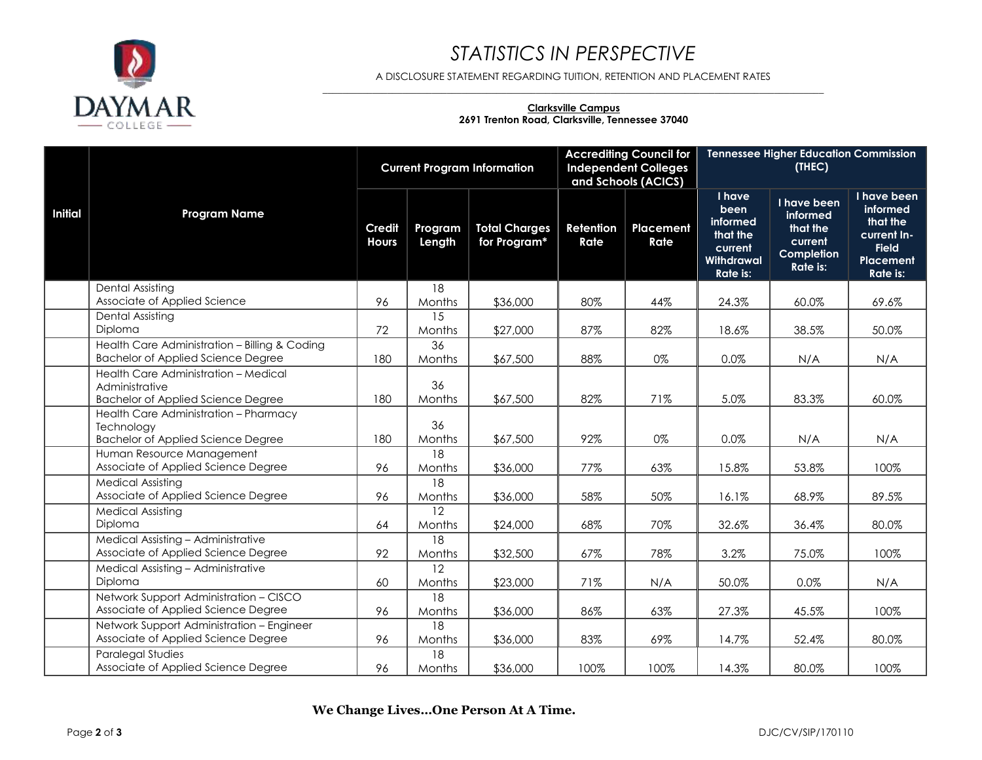

# *STATISTICS IN PERSPECTIVE*

A DISCLOSURE STATEMENT REGARDING TUITION, RETENTION AND PLACEMENT RATES  $\_$  ,  $\_$  ,  $\_$  ,  $\_$  ,  $\_$  ,  $\_$  ,  $\_$  ,  $\_$  ,  $\_$  ,  $\_$  ,  $\_$  ,  $\_$  ,  $\_$  ,  $\_$  ,  $\_$  ,  $\_$  ,  $\_$  ,  $\_$  ,  $\_$  ,  $\_$  ,  $\_$  ,  $\_$  ,  $\_$  ,  $\_$  ,  $\_$  ,  $\_$  ,  $\_$  ,  $\_$  ,  $\_$  ,  $\_$  ,  $\_$  ,  $\_$  ,  $\_$  ,  $\_$  ,  $\_$  ,  $\_$  ,  $\_$  ,

#### **Clarksville Campus 2691 Trenton Road, Clarksville, Tennessee 37040**

|                |                                                                                                     |                               |                           | <b>Current Program Information</b>   |                   | <b>Accrediting Council for</b><br><b>Independent Colleges</b><br>and Schools (ACICS) |                                                                                    | <b>Tennessee Higher Education Commission</b><br>(THEC)                          |                                                                                                    |
|----------------|-----------------------------------------------------------------------------------------------------|-------------------------------|---------------------------|--------------------------------------|-------------------|--------------------------------------------------------------------------------------|------------------------------------------------------------------------------------|---------------------------------------------------------------------------------|----------------------------------------------------------------------------------------------------|
| <b>Initial</b> | <b>Program Name</b>                                                                                 | <b>Credit</b><br><b>Hours</b> | Program<br>Length         | <b>Total Charges</b><br>for Program* | Retention<br>Rate | Placement<br>Rate                                                                    | <b>I</b> have<br>been<br>informed<br>that the<br>current<br>Withdrawal<br>Rate is: | I have been<br>informed<br>that the<br>current<br>Completion<br><b>Rate is:</b> | I have been<br>informed<br>that the<br>current In-<br><b>Field</b><br><b>Placement</b><br>Rate is: |
|                | <b>Dental Assisting</b>                                                                             |                               | 18                        |                                      |                   |                                                                                      |                                                                                    |                                                                                 |                                                                                                    |
|                | Associate of Applied Science<br>Dental Assisting                                                    | 96                            | Months<br>15              | \$36,000                             | 80%               | 44%                                                                                  | 24.3%                                                                              | 60.0%                                                                           | 69.6%                                                                                              |
|                | Diploma                                                                                             | 72                            | Months                    | \$27,000                             | 87%               | 82%                                                                                  | 18.6%                                                                              | 38.5%                                                                           | 50.0%                                                                                              |
|                | Health Care Administration - Billing & Coding<br><b>Bachelor of Applied Science Degree</b>          | 180                           | 36<br>Months              | \$67,500                             | 88%               | 0%                                                                                   | 0.0%                                                                               | N/A                                                                             | N/A                                                                                                |
|                | Health Care Administration - Medical<br>Administrative<br><b>Bachelor of Applied Science Degree</b> | 180                           | 36<br>Months              | \$67,500                             | 82%               | 71%                                                                                  | 5.0%                                                                               | 83.3%                                                                           | 60.0%                                                                                              |
|                | Health Care Administration - Pharmacy<br>Technoloav<br><b>Bachelor of Applied Science Degree</b>    | 180                           | 36<br>Months              | \$67,500                             | 92%               | 0%                                                                                   | 0.0%                                                                               | N/A                                                                             | N/A                                                                                                |
|                | Human Resource Management<br>Associate of Applied Science Degree                                    | 96                            | 18<br>Months              | \$36,000                             | 77%               | 63%                                                                                  | 15.8%                                                                              | 53.8%                                                                           | 100%                                                                                               |
|                | <b>Medical Assisting</b><br>Associate of Applied Science Degree                                     | 96                            | 18<br>Months              | \$36,000                             | 58%               | 50%                                                                                  | 16.1%                                                                              | 68.9%                                                                           | 89.5%                                                                                              |
|                | <b>Medical Assisting</b><br>Diploma                                                                 | 64                            | 12<br>Months              | \$24,000                             | 68%               | 70%                                                                                  | 32.6%                                                                              | 36.4%                                                                           | 80.0%                                                                                              |
|                | Medical Assisting - Administrative<br>Associate of Applied Science Degree                           | 92                            | $\overline{18}$<br>Months | \$32,500                             | 67%               | 78%                                                                                  | 3.2%                                                                               | 75.0%                                                                           | 100%                                                                                               |
|                | Medical Assisting - Administrative<br>Diploma                                                       | 60                            | 12<br>Months              | \$23,000                             | 71%               | N/A                                                                                  | 50.0%                                                                              | 0.0%                                                                            | N/A                                                                                                |
|                | Network Support Administration - CISCO<br>Associate of Applied Science Degree                       | 96                            | 18<br>Months              | \$36,000                             | 86%               | 63%                                                                                  | 27.3%                                                                              | 45.5%                                                                           | 100%                                                                                               |
|                | Network Support Administration - Engineer<br>Associate of Applied Science Degree                    | 96                            | 18<br>Months              | \$36,000                             | 83%               | 69%                                                                                  | 14.7%                                                                              | 52.4%                                                                           | 80.0%                                                                                              |
|                | <b>Paralegal Studies</b><br>Associate of Applied Science Degree                                     | 96                            | 18<br>Months              | \$36,000                             | 100%              | 100%                                                                                 | 14.3%                                                                              | 80.0%                                                                           | 100%                                                                                               |